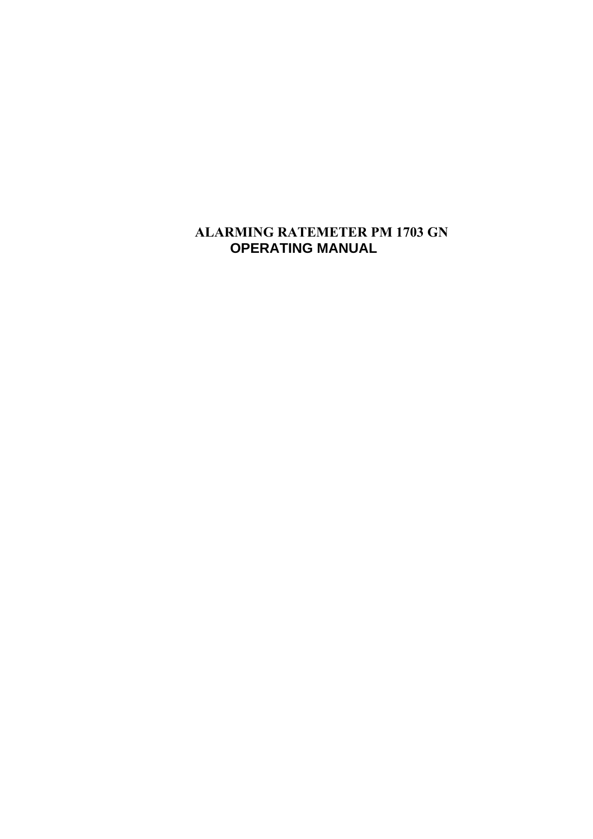# **ALARMING RATEMETER PM 1703 GN OPERATING MANUAL**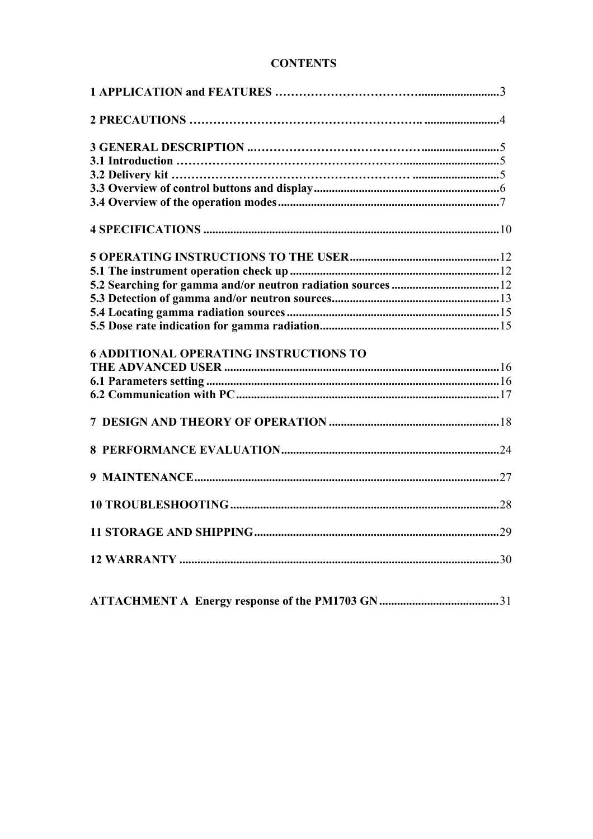| <b>CONTENTS</b> |
|-----------------|
|-----------------|

| <b>6 ADDITIONAL OPERATING INSTRUCTIONS TO</b> |  |
|-----------------------------------------------|--|
|                                               |  |
|                                               |  |
|                                               |  |
|                                               |  |
|                                               |  |
|                                               |  |
|                                               |  |
|                                               |  |
|                                               |  |
|                                               |  |

|--|--|--|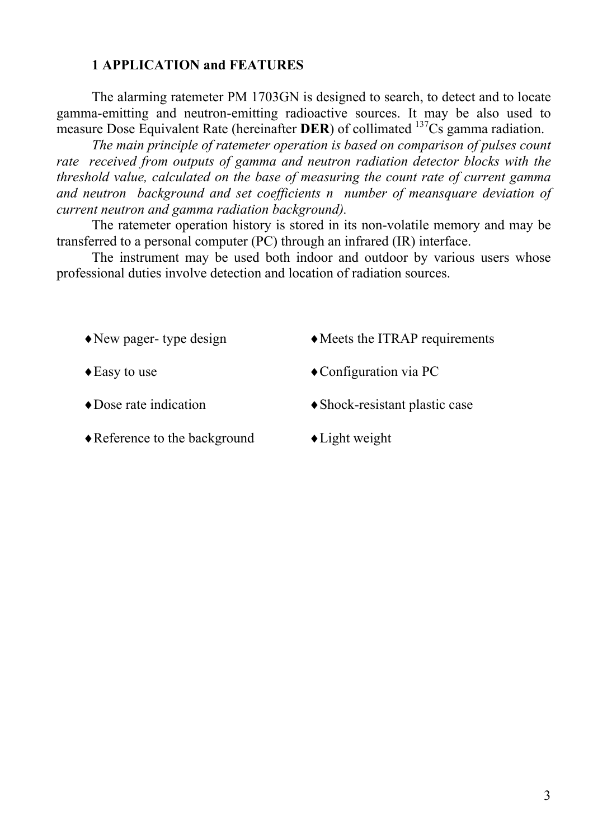### <span id="page-2-0"></span>**1 APPLICATION and FEATURES**

The alarming ratemeter PM 1703GN is designed to search, to detect and to locate gamma-emitting and neutron-emitting radioactive sources. It may be also used to measure Dose Equivalent Rate (hereinafter **DER**) of collimated <sup>137</sup>Cs gamma radiation.

*The main principle of ratemeter operation is based on comparison of pulses count rate received from outputs of gamma and neutron radiation detector blocks with the threshold value, calculated on the base of measuring the count rate of current gamma and neutron background and set coefficients n number of meansquare deviation of current neutron and gamma radiation background).* 

The ratemeter operation history is stored in its non-volatile memory and may be transferred to a personal computer (PC) through an infrared (IR) interface.

The instrument may be used both indoor and outdoor by various users whose professional duties involve detection and location of radiation sources.

- 
- 
- 
- $\triangle$ Reference to the background  $\triangle$  Light weight
- $\triangle$ New pager- type design  $\triangle$ Meets the ITRAP requirements
- ◆ Easy to use → Configuration via PC
- $\triangle$ Dose rate indication  $\triangle$ Shock-resistant plastic case
	-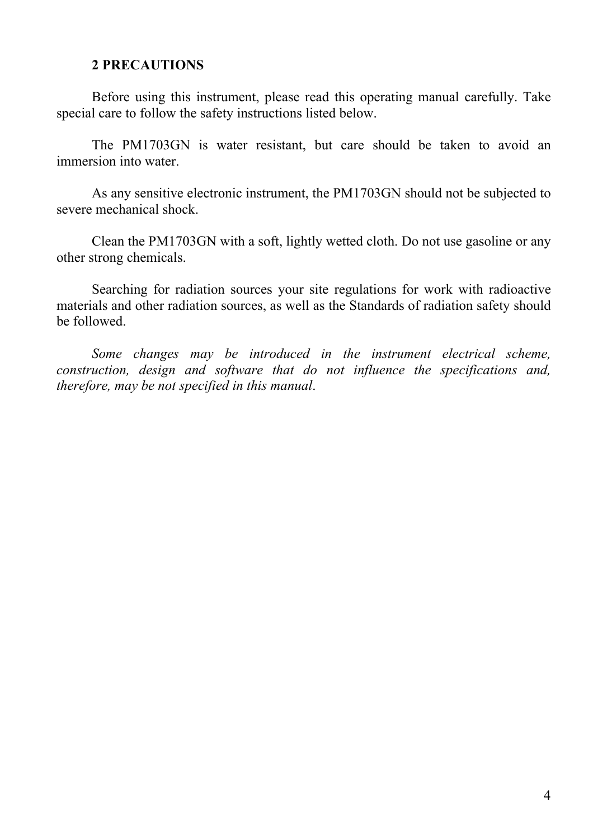#### <span id="page-3-0"></span>**2 PRECAUTIONS**

Before using this instrument, please read this operating manual carefully. Take special care to follow the safety instructions listed below.

The PM1703GN is water resistant, but care should be taken to avoid an immersion into water.

As any sensitive electronic instrument, the PM1703GN should not be subjected to severe mechanical shock.

Clean the PM1703GN with a soft, lightly wetted cloth. Do not use gasoline or any other strong chemicals.

Searching for radiation sources your site regulations for work with radioactive materials and other radiation sources, as well as the Standards of radiation safety should be followed.

*Some changes may be introduced in the instrument electrical scheme, construction, design and software that do not influence the specifications and, therefore, may be not specified in this manual*.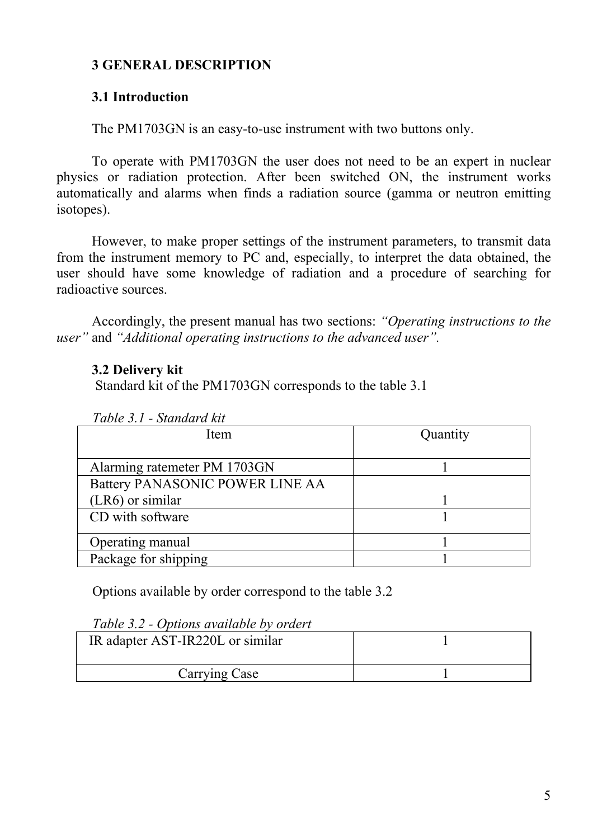## <span id="page-4-0"></span>**3 GENERAL DESCRIPTION**

## <span id="page-4-1"></span>**3.1 Introduction**

The PM1703GN is an easy-to-use instrument with two buttons only.

To operate with PM1703GN the user does not need to be an expert in nuclear physics or radiation protection. After been switched ON, the instrument works automatically and alarms when finds a radiation source (gamma or neutron emitting isotopes).

However, to make proper settings of the instrument parameters, to transmit data from the instrument memory to PC and, especially, to interpret the data obtained, the user should have some knowledge of radiation and a procedure of searching for radioactive sources.

Accordingly, the present manual has two sections: *"Operating instructions to the user"* and *"Additional operating instructions to the advanced user".*

### <span id="page-4-2"></span>**3.2 Delivery kit**

Standard kit of the PM1703GN corresponds to the table 3.1

| Item                            | Quantity |
|---------------------------------|----------|
|                                 |          |
| Alarming ratemeter PM 1703GN    |          |
| Battery PANASONIC POWER LINE AA |          |
| $(LR6)$ or similar              |          |
| CD with software                |          |
|                                 |          |
| Operating manual                |          |
| Package for shipping            |          |

Options available by order correspond to the table 3.2

| Table 3.2 - Options available by ordert |  |
|-----------------------------------------|--|
| IR adapter AST-IR220L or similar        |  |
| Carrying Case                           |  |

*Table 3.2 - Options available by ordert*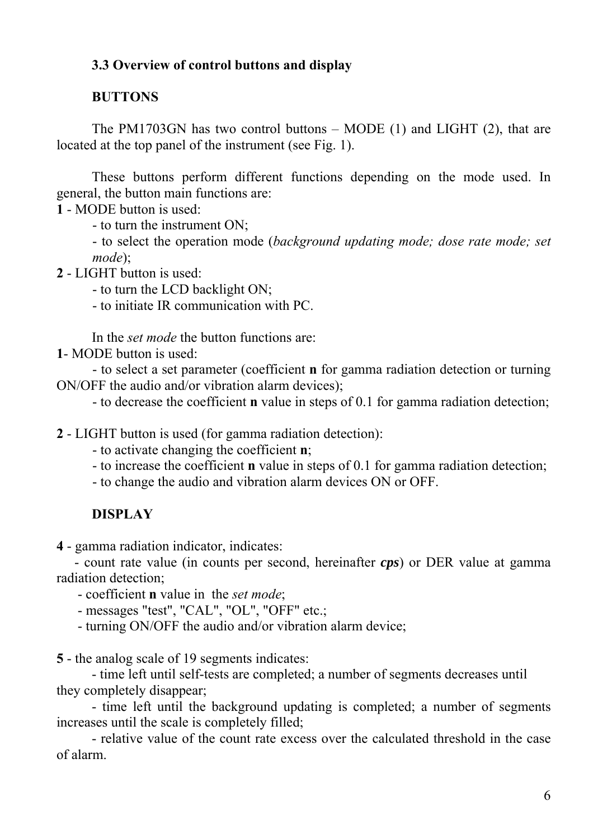# <span id="page-5-0"></span>**3.3 Overview of control buttons and display**

### **BUTTONS**

The PM1703GN has two control buttons – MODE (1) and LIGHT (2), that are located at the top panel of the instrument (see Fig. 1).

These buttons perform different functions depending on the mode used. In general, the button main functions are:

**1** - MODE button is used:

- to turn the instrument ON;

- to select the operation mode (*background updating mode; dose rate mode; set mode*);

**2** - LIGHT button is used:

- to turn the LCD backlight ON;

- to initiate IR communication with PC.

In the *set mode* the button functions are:

**1**- MODE button is used:

- to select a set parameter (coefficient **n** for gamma radiation detection or turning ON/OFF the audio and/or vibration alarm devices);

- to decrease the coefficient **n** value in steps of 0.1 for gamma radiation detection;

**2** - LIGHT button is used (for gamma radiation detection):

- to activate changing the coefficient **n**;

- to increase the coefficient **n** value in steps of 0.1 for gamma radiation detection;

- to change the audio and vibration alarm devices ON or OFF.

## **DISPLAY**

**4** - gamma radiation indicator, indicates:

- count rate value (in counts per second, hereinafter *cps*) or DER value at gamma radiation detection;

- coefficient **n** value in the *set mode*;

- messages "test", "CAL", "OL", "OFF" etc.;

- turning ON/OFF the audio and/or vibration alarm device;

**5** - the analog scale of 19 segments indicates:

- time left until self-tests are completed; a number of segments decreases until they completely disappear;

- time left until the background updating is completed; a number of segments increases until the scale is completely filled;

- relative value of the count rate excess over the calculated threshold in the case of alarm.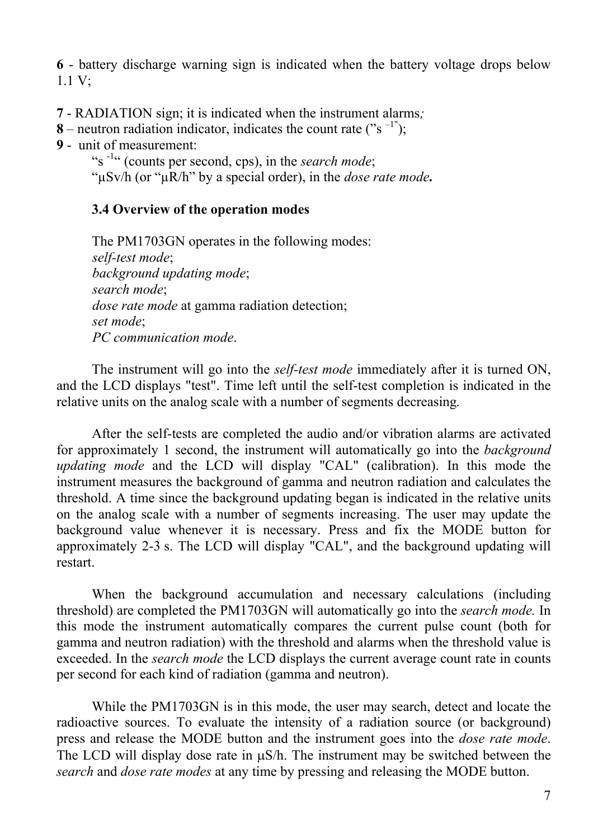**6** - battery discharge warning sign is indicated when the battery voltage drops below 1.1 V;

**7** - RADIATION sign; it is indicated when the instrument alarms*;*

**8** – neutron radiation indicator, indicates the count rate ("s<sup>-1"</sup>);

**9** - unit of measurement:

"s -1" (counts per second, cps), in the *search mode*;

"µSv/h (or "µR/h" by a special order), in the *dose rate mode.*

# <span id="page-6-0"></span>**3.4 Overview of the operation modes**

The PM1703GN operates in the following modes: *self-test mode*; *background updating mode*; *search mode*; *dose rate mode* at gamma radiation detection; *set mode*; *PC communication mode*.

The instrument will go into the *self-test mode* immediately after it is turned ON, and the LCD displays "test". Time left until the self-test completion is indicated in the relative units on the analog scale with a number of segments decreasing*.*

After the self-tests are completed the audio and/or vibration alarms are activated for approximately 1 second, the instrument will automatically go into the *background updating mode* and the LCD will display "CAL" (calibration). In this mode the instrument measures the background of gamma and neutron radiation and calculates the threshold. A time since the background updating began is indicated in the relative units on the analog scale with a number of segments increasing. The user may update the background value whenever it is necessary. Press and fix the MODE button for approximately 2-3 s. The LCD will display "CAL", and the background updating will restart.

When the background accumulation and necessary calculations (including threshold) are completed the PM1703GN will automatically go into the *search mode.* In this mode the instrument automatically compares the current pulse count (both for gamma and neutron radiation) with the threshold and alarms when the threshold value is exceeded. In the *search mode* the LCD displays the current average count rate in counts per second for each kind of radiation (gamma and neutron).

While the PM1703GN is in this mode, the user may search, detect and locate the radioactive sources. To evaluate the intensity of a radiation source (or background) press and release the MODE button and the instrument goes into the *dose rate mode*. The LCD will display dose rate in  $\mu S/h$ . The instrument may be switched between the *search* and *dose rate modes* at any time by pressing and releasing the MODE button.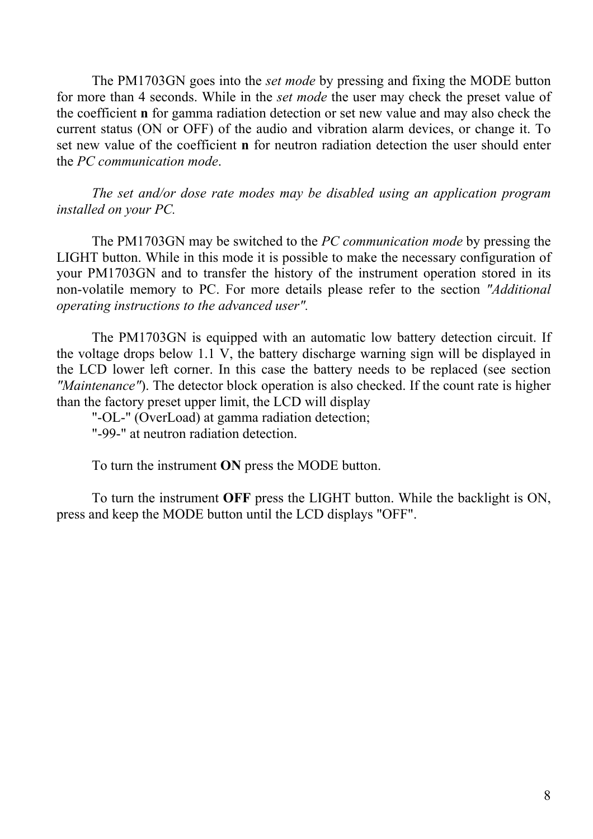The PM1703GN goes into the *set mode* by pressing and fixing the MODE button for more than 4 seconds. While in the *set mode* the user may check the preset value of the coefficient **n** for gamma radiation detection or set new value and may also check the current status (ON or OFF) of the audio and vibration alarm devices, or change it. To set new value of the coefficient **n** for neutron radiation detection the user should enter the *PC communication mode*.

*The set and/or dose rate modes may be disabled using an application program installed on your PC.* 

The PM1703GN may be switched to the *PC communication mode* by pressing the LIGHT button. While in this mode it is possible to make the necessary configuration of your PM1703GN and to transfer the history of the instrument operation stored in its non-volatile memory to PC. For more details please refer to the section *"Additional operating instructions to the advanced user".*

The PM1703GN is equipped with an automatic low battery detection circuit. If the voltage drops below 1.1 V, the battery discharge warning sign will be displayed in the LCD lower left corner. In this case the battery needs to be replaced (see section *"Maintenance"*). The detector block operation is also checked. If the count rate is higher than the factory preset upper limit, the LCD will display

"-OL-" (OverLoad) at gamma radiation detection;

"-99-" at neutron radiation detection.

To turn the instrument **ON** press the MODE button.

To turn the instrument **OFF** press the LIGHT button. While the backlight is ON, press and keep the MODE button until the LCD displays "OFF".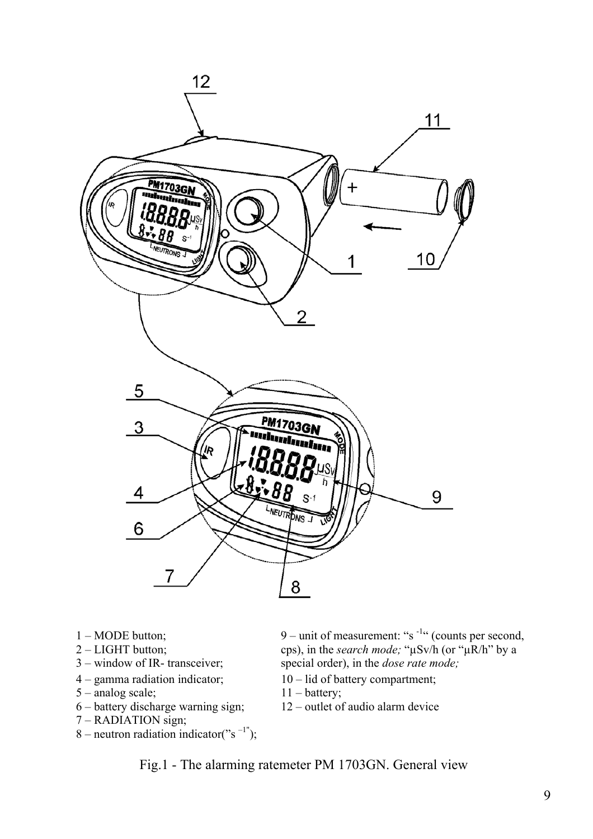

- 1 MODE button;
- 2 LIGHT button;
- 3 window of IR- transceiver;
- 4 gamma radiation indicator; 10 lid of battery compartment;
- 5 analog scale; 11 battery;
- 6 battery discharge warning sign; 12 outlet of audio alarm device
- 7 RADIATION sign;
- $8$  neutron radiation indicator("s<sup>-1"</sup>);

9 – unit of measurement: " $s<sup>-1</sup>$ " (counts per second, cps), in the *search mode;* "µSv/h (or "µR/h" by a special order), in the *dose rate mode;*

- 
- 
- 

Fig.1 - The alarming ratemeter PM 1703GN. General view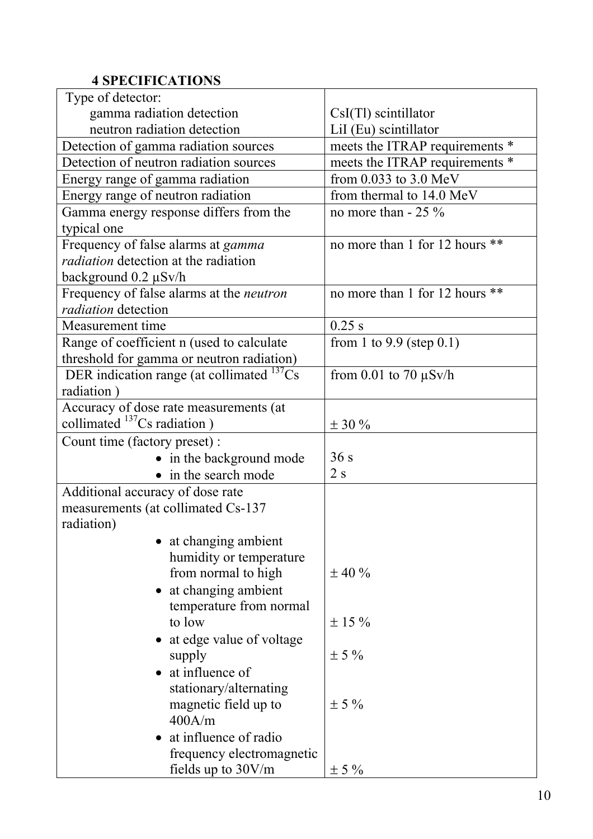# <span id="page-9-0"></span>**4 SPECIFICATIONS**

| Type of detector:                               |                                |  |
|-------------------------------------------------|--------------------------------|--|
| gamma radiation detection                       | $CsI(Tl)$ scintillator         |  |
| neutron radiation detection                     | LiI (Eu) scintillator          |  |
| Detection of gamma radiation sources            | meets the ITRAP requirements * |  |
| Detection of neutron radiation sources          | meets the ITRAP requirements * |  |
| Energy range of gamma radiation                 | from 0.033 to 3.0 MeV          |  |
| Energy range of neutron radiation               | from thermal to 14.0 MeV       |  |
| Gamma energy response differs from the          | no more than $-25\%$           |  |
| typical one                                     |                                |  |
| Frequency of false alarms at <i>gamma</i>       | no more than 1 for 12 hours ** |  |
| <i>radiation</i> detection at the radiation     |                                |  |
| background $0.2 \mu Sv/h$                       |                                |  |
| Frequency of false alarms at the <i>neutron</i> | no more than 1 for 12 hours ** |  |
| radiation detection                             |                                |  |
| Measurement time                                | $0.25$ s                       |  |
| Range of coefficient n (used to calculate       | from 1 to 9.9 (step $0.1$ )    |  |
| threshold for gamma or neutron radiation)       |                                |  |
| DER indication range (at collimated $^{137}Cs$  | from 0.01 to 70 $\mu$ Sv/h     |  |
| radiation)                                      |                                |  |
| Accuracy of dose rate measurements (at          |                                |  |
| collimated $^{137}Cs$ radiation)                | $\pm$ 30 %                     |  |
| Count time (factory preset) :                   |                                |  |
| • in the background mode                        | 36s                            |  |
| • in the search mode                            | 2s                             |  |
| Additional accuracy of dose rate                |                                |  |
| measurements (at collimated Cs-137              |                                |  |
| radiation)                                      |                                |  |
| at changing ambient                             |                                |  |
| humidity or temperature                         |                                |  |
| from normal to high                             | $\pm$ 40 %                     |  |
| at changing ambient                             |                                |  |
| temperature from normal                         |                                |  |
| to low                                          | $\pm 15 \%$                    |  |
| at edge value of voltage                        |                                |  |
| supply                                          | $\pm$ 5 %                      |  |
| at influence of                                 |                                |  |
| stationary/alternating                          |                                |  |
| magnetic field up to                            | $\pm$ 5 %                      |  |
| 400A/m                                          |                                |  |
| at influence of radio                           |                                |  |
| frequency electromagnetic                       |                                |  |
| fields up to $30V/m$                            | $\pm$ 5 %                      |  |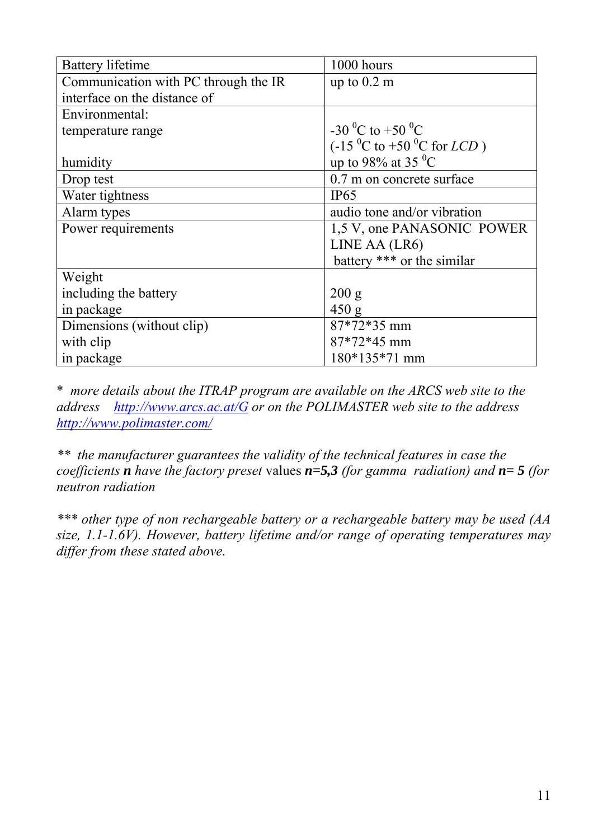| <b>Battery lifetime</b>              | 1000 hours                                          |  |
|--------------------------------------|-----------------------------------------------------|--|
| Communication with PC through the IR | up to $0.2 \text{ m}$                               |  |
| interface on the distance of         |                                                     |  |
| Environmental:                       |                                                     |  |
| temperature range                    | -30 <sup>o</sup> C to +50 <sup>o</sup> C            |  |
|                                      | $(-15 \, {}^{0}C$ to +50 ${}^{0}C$ for <i>LCD</i> ) |  |
| humidity                             | up to 98% at 35 $^{\circ}$ C                        |  |
| Drop test                            | 0.7 m on concrete surface                           |  |
| Water tightness                      | IP65                                                |  |
| Alarm types                          | audio tone and/or vibration                         |  |
| Power requirements                   | 1.5 V, one PANASONIC POWER                          |  |
|                                      | LINE AA (LR6)                                       |  |
|                                      | battery *** or the similar                          |  |
| Weight                               |                                                     |  |
| including the battery                | 200 g                                               |  |
| in package                           | 450 g                                               |  |
| Dimensions (without clip)            | 87*72*35 mm                                         |  |
| with clip                            | 87*72*45 mm                                         |  |
| in package                           | 180*135*71 mm                                       |  |

\* *more details about the ITRAP program are available on the ARCS web site to the address [http://www.arcs.ac.at/G](http://www.arcs.ac.at/G/volltext/ITRAP_Fin_Rep.pdf) or on the POLIMASTER web site to the address [http://www.polimaster.com/](http://www.polimaster.com/en/support/docs/itrapfinreport.pdf)* 

*\*\* the manufacturer guarantees the validity of the technical features in case the coefficients n have the factory preset* values *n=5,3 (for gamma radiation) and n= 5 (for neutron radiation* 

*\*\*\* other type of non rechargeable battery or a rechargeable battery may be used (AA size, 1.1-1.6V). However, battery lifetime and/or range of operating temperatures may differ from these stated above.*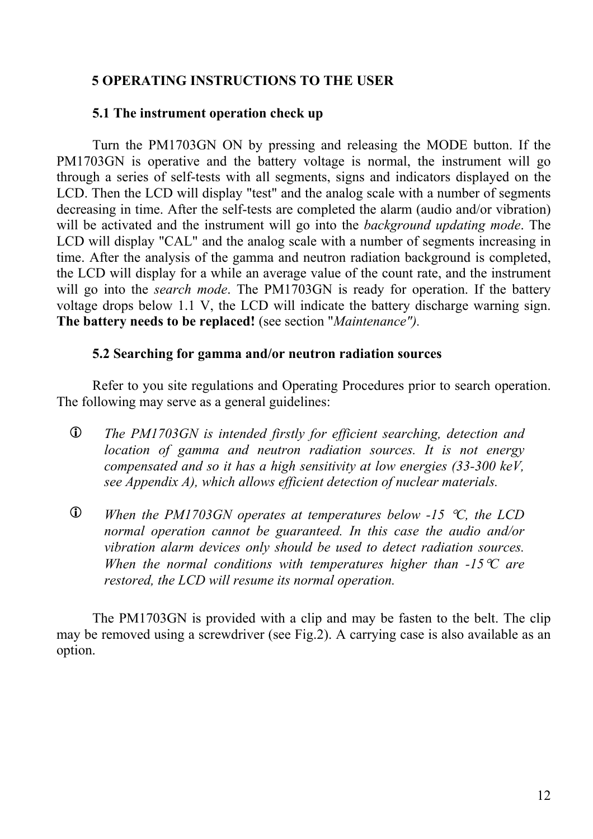### <span id="page-11-0"></span>**5 OPERATING INSTRUCTIONS TO THE USER**

#### <span id="page-11-1"></span>**5.1 The instrument operation check up**

Turn the PM1703GN ON by pressing and releasing the MODE button. If the PM1703GN is operative and the battery voltage is normal, the instrument will go through a series of self-tests with all segments, signs and indicators displayed on the LCD. Then the LCD will display "test" and the analog scale with a number of segments decreasing in time. After the self-tests are completed the alarm (audio and/or vibration) will be activated and the instrument will go into the *background updating mode*. The LCD will display "CAL" and the analog scale with a number of segments increasing in time. After the analysis of the gamma and neutron radiation background is completed, the LCD will display for a while an average value of the count rate, and the instrument will go into the *search mode*. The PM1703GN is ready for operation. If the battery voltage drops below 1.1 V, the LCD will indicate the battery discharge warning sign. **The battery needs to be replaced!** (see section "*Maintenance").*

#### <span id="page-11-2"></span>**5.2 Searching for gamma and/or neutron radiation sources**

Refer to you site regulations and Operating Procedures prior to search operation. The following may serve as a general guidelines:

- L *The PM1703GN is intended firstly for efficient searching, detection and location of gamma and neutron radiation sources. It is not energy compensated and so it has a high sensitivity at low energies (33-300 keV, see Appendix A), which allows efficient detection of nuclear materials.*
- L *When the PM1703GN operates at temperatures below -15* °*C, the LCD normal operation cannot be guaranteed. In this case the audio and/or vibration alarm devices only should be used to detect radiation sources. When the normal conditions with temperatures higher than -15*°*C are restored, the LCD will resume its normal operation.*

The PM1703GN is provided with a clip and may be fasten to the belt. The clip may be removed using a screwdriver (see Fig.2). A carrying case is also available as an option.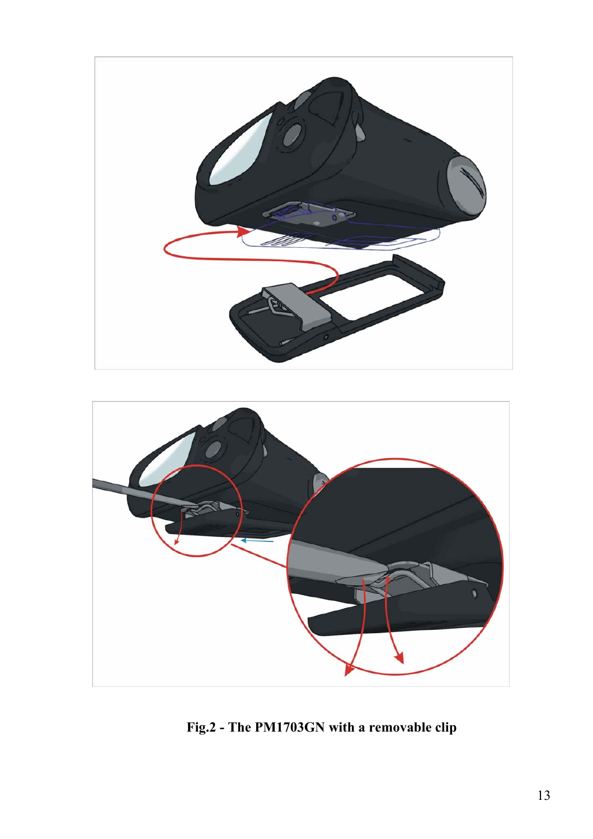

<span id="page-12-0"></span>

**Fig.2 - The PM1703GN with a removable clip**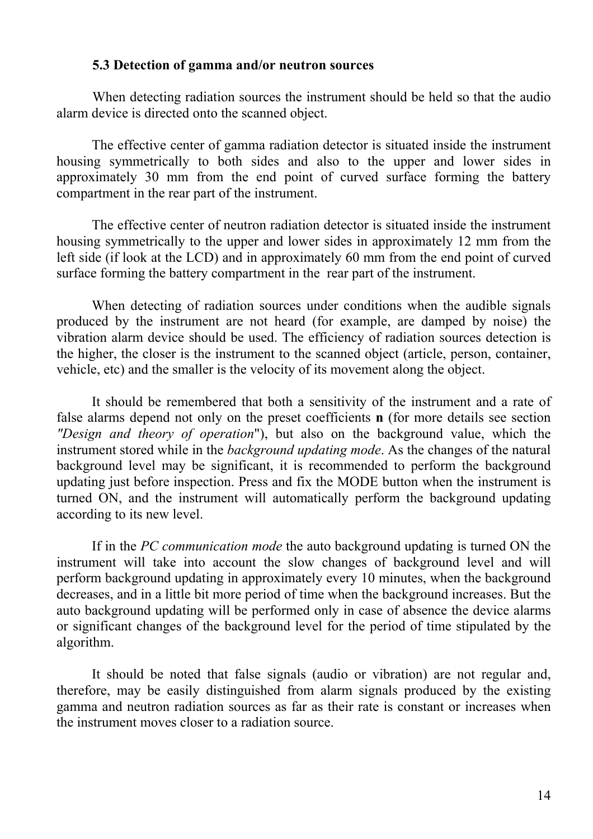#### **5.3 Detection of gamma and/or neutron sources**

When detecting radiation sources the instrument should be held so that the audio alarm device is directed onto the scanned object.

The effective center of gamma radiation detector is situated inside the instrument housing symmetrically to both sides and also to the upper and lower sides in approximately 30 mm from the end point of curved surface forming the battery compartment in the rear part of the instrument.

The effective center of neutron radiation detector is situated inside the instrument housing symmetrically to the upper and lower sides in approximately 12 mm from the left side (if look at the LCD) and in approximately 60 mm from the end point of curved surface forming the battery compartment in the rear part of the instrument.

When detecting of radiation sources under conditions when the audible signals produced by the instrument are not heard (for example, are damped by noise) the vibration alarm device should be used. The efficiency of radiation sources detection is the higher, the closer is the instrument to the scanned object (article, person, container, vehicle, etc) and the smaller is the velocity of its movement along the object.

It should be remembered that both a sensitivity of the instrument and a rate of false alarms depend not only on the preset coefficients **n** (for more details see section *"Design and theory of operation*"), but also on the background value, which the instrument stored while in the *background updating mode*. As the changes of the natural background level may be significant, it is recommended to perform the background updating just before inspection. Press and fix the MODE button when the instrument is turned ON, and the instrument will automatically perform the background updating according to its new level.

If in the *PC communication mode* the auto background updating is turned ON the instrument will take into account the slow changes of background level and will perform background updating in approximately every 10 minutes, when the background decreases, and in a little bit more period of time when the background increases. But the auto background updating will be performed only in case of absence the device alarms or significant changes of the background level for the period of time stipulated by the algorithm.

It should be noted that false signals (audio or vibration) are not regular and, therefore, may be easily distinguished from alarm signals produced by the existing gamma and neutron radiation sources as far as their rate is constant or increases when the instrument moves closer to a radiation source.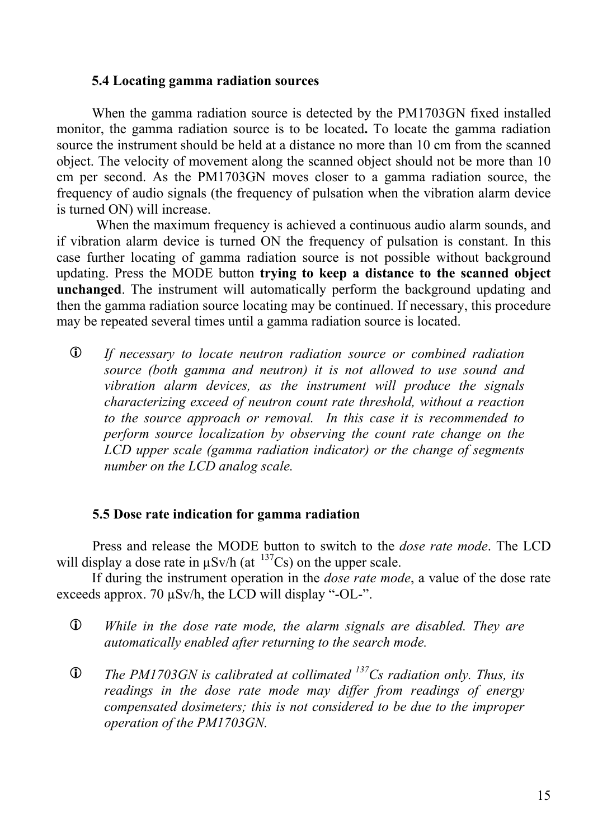#### <span id="page-14-0"></span>**5.4 Locating gamma radiation sources**

When the gamma radiation source is detected by the PM1703GN fixed installed monitor, the gamma radiation source is to be located**.** To locate the gamma radiation source the instrument should be held at a distance no more than 10 cm from the scanned object. The velocity of movement along the scanned object should not be more than 10 cm per second. As the PM1703GN moves closer to a gamma radiation source, the frequency of audio signals (the frequency of pulsation when the vibration alarm device is turned ON) will increase.

When the maximum frequency is achieved a continuous audio alarm sounds, and if vibration alarm device is turned ON the frequency of pulsation is constant. In this case further locating of gamma radiation source is not possible without background updating. Press the MODE button **trying to keep a distance to the scanned object unchanged**. The instrument will automatically perform the background updating and then the gamma radiation source locating may be continued. If necessary, this procedure may be repeated several times until a gamma radiation source is located.

L *If necessary to locate neutron radiation source or combined radiation source (both gamma and neutron) it is not allowed to use sound and vibration alarm devices, as the instrument will produce the signals characterizing exceed of neutron count rate threshold, without a reaction to the source approach or removal. In this case it is recommended to perform source localization by observing the count rate change on the LCD upper scale (gamma radiation indicator) or the change of segments number on the LCD analog scale.* 

#### <span id="page-14-1"></span>**5.5 Dose rate indication for gamma radiation**

Press and release the MODE button to switch to the *dose rate mode*. The LCD will display a dose rate in  $\mu$ Sv/h (at  $137Cs$ ) on the upper scale.

If during the instrument operation in the *dose rate mode*, a value of the dose rate exceeds approx. 70 µSv/h, the LCD will display "-OL-".

- L *While in the dose rate mode, the alarm signals are disabled. They are automatically enabled after returning to the search mode.*
- L *The PM1703GN is calibrated at collimated 137Cs radiation only. Thus, its readings in the dose rate mode may differ from readings of energy compensated dosimeters; this is not considered to be due to the improper operation of the PM1703GN.*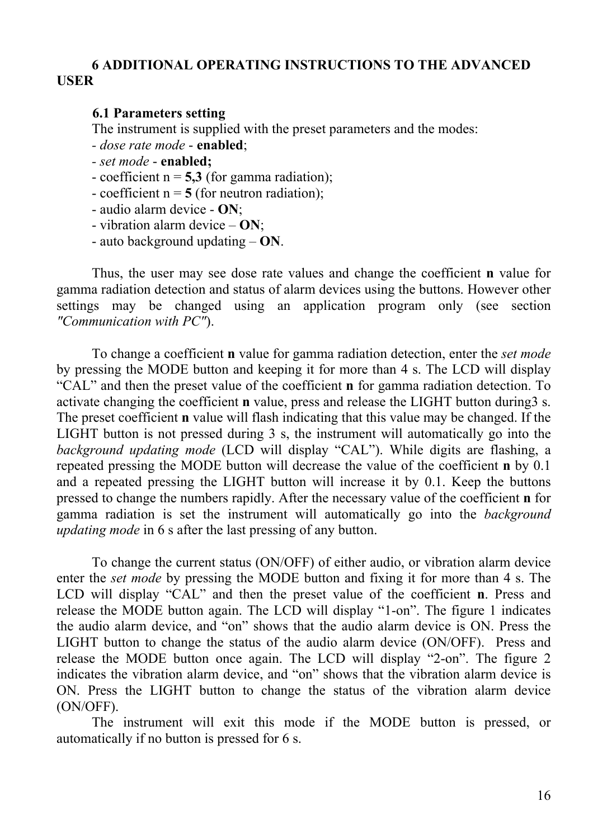### <span id="page-15-0"></span>**6 ADDITIONAL OPERATING INSTRUCTIONS TO THE ADVANCED USER**

#### <span id="page-15-1"></span>**6.1 Parameters setting**

The instrument is supplied with the preset parameters and the modes:

*- dose rate mode* - **enabled**;

*- set mode* - **enabled;**

- coefficient  $n = 5.3$  (for gamma radiation);

- coefficient  $n = 5$  (for neutron radiation);

- audio alarm device - **ON**;

- vibration alarm device – **ON**;

- auto background updating – **ON**.

Thus, the user may see dose rate values and change the coefficient **n** value for gamma radiation detection and status of alarm devices using the buttons. However other settings may be changed using an application program only (see section *"Communication with PC"*).

To change a coefficient **n** value for gamma radiation detection, enter the *set mode* by pressing the MODE button and keeping it for more than 4 s. The LCD will display "CAL" and then the preset value of the coefficient **n** for gamma radiation detection. To activate changing the coefficient **n** value, press and release the LIGHT button during3 s. The preset coefficient **n** value will flash indicating that this value may be changed. If the LIGHT button is not pressed during 3 s, the instrument will automatically go into the *background updating mode* (LCD will display "CAL"). While digits are flashing, a repeated pressing the MODE button will decrease the value of the coefficient **n** by 0.1 and a repeated pressing the LIGHT button will increase it by 0.1. Keep the buttons pressed to change the numbers rapidly. After the necessary value of the coefficient **n** for gamma radiation is set the instrument will automatically go into the *background updating mode* in 6 s after the last pressing of any button.

To change the current status (ON/OFF) of either audio, or vibration alarm device enter the *set mode* by pressing the MODE button and fixing it for more than 4 s. The LCD will display "CAL" and then the preset value of the coefficient **n**. Press and release the MODE button again. The LCD will display "1-on". The figure 1 indicates the audio alarm device, and "on" shows that the audio alarm device is ON. Press the LIGHT button to change the status of the audio alarm device (ON/OFF). Press and release the MODE button once again. The LCD will display "2-on". The figure 2 indicates the vibration alarm device, and "on" shows that the vibration alarm device is ON. Press the LIGHT button to change the status of the vibration alarm device (ON/OFF).

The instrument will exit this mode if the MODE button is pressed, or automatically if no button is pressed for 6 s.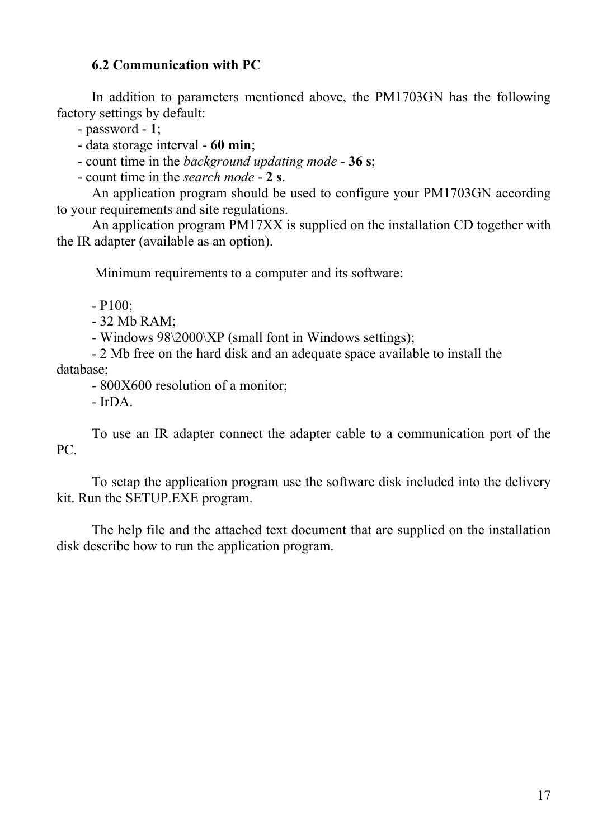## <span id="page-16-0"></span>**6.2 Communication with PC**

In addition to parameters mentioned above, the PM1703GN has the following factory settings by default:

- password - **1**;

- data storage interval - **60 min**;

- count time in the *background updating mode* - **36 s**;

- count time in the *search mode* - **2 s**.

An application program should be used to configure your PM1703GN according to your requirements and site regulations.

An application program PM17ХХ is supplied on the installation CD together with the IR adapter (available as an option).

Minimum requirements to a computer and its software:

- P100;

- 32 Mb RAM;

- Windows 98\2000\XP (small font in Windows settings);

- 2 Mb free on the hard disk and an adequate space available to install the database;

- 800X600 resolution of a monitor;

- IrDA.

To use an IR adapter connect the adapter cable to a communication port of the PC.

To setap the application program use the software disk included into the delivery kit. Run the SETUP.EXE program.

The help file and the attached text document that are supplied on the installation disk describe how to run the application program.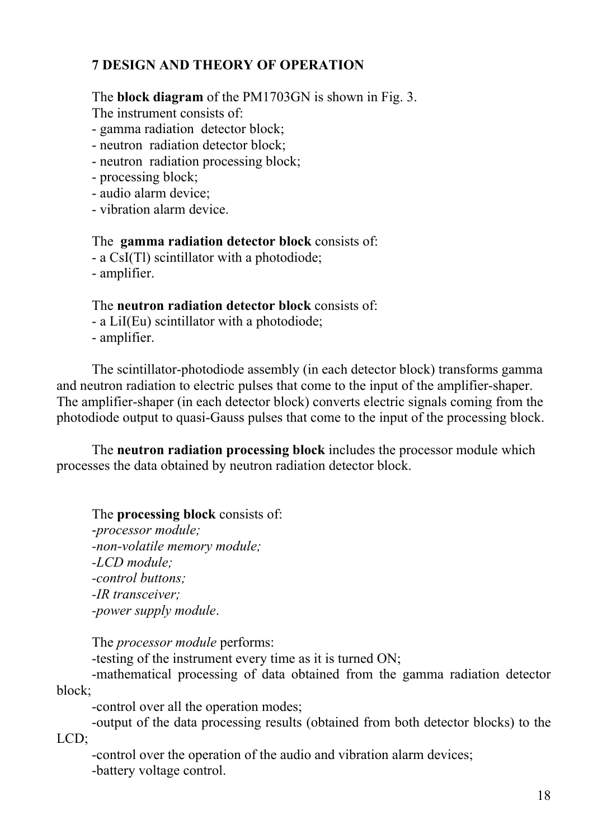# **7 DESIGN AND THEORY OF OPERATION**

The **block diagram** of the PM1703GN is shown in Fig. 3.

The instrument consists of:

- gamma radiation detector block;

- neutron radiation detector block;

- neutron radiation processing block;

- processing block;

- audio alarm device;

- vibration alarm device.

The **gamma radiation detector block** consists of:

- a CsI(Tl) scintillator with a photodiode;

- amplifier.

The **neutron radiation detector block** consists of:

- a LiI(Eu) scintillator with a photodiode;

- amplifier.

The scintillator-photodiode assembly (in each detector block) transforms gamma and neutron radiation to electric pulses that come to the input of the amplifier-shaper. The amplifier-shaper (in each detector block) converts electric signals coming from the photodiode output to quasi-Gauss pulses that come to the input of the processing block.

The **neutron radiation processing block** includes the processor module which processes the data obtained by neutron radiation detector block.

The **processing block** consists of:

-*processor module; -non-volatile memory module; -LCD module; -control buttons; -IR transceiver; -power supply module*.

The *processor module* performs:

-testing of the instrument every time as it is turned ON;

-mathematical processing of data obtained from the gamma radiation detector block;

-control over all the operation modes;

-output of the data processing results (obtained from both detector blocks) to the LCD;

-control over the operation of the audio and vibration alarm devices; -battery voltage control.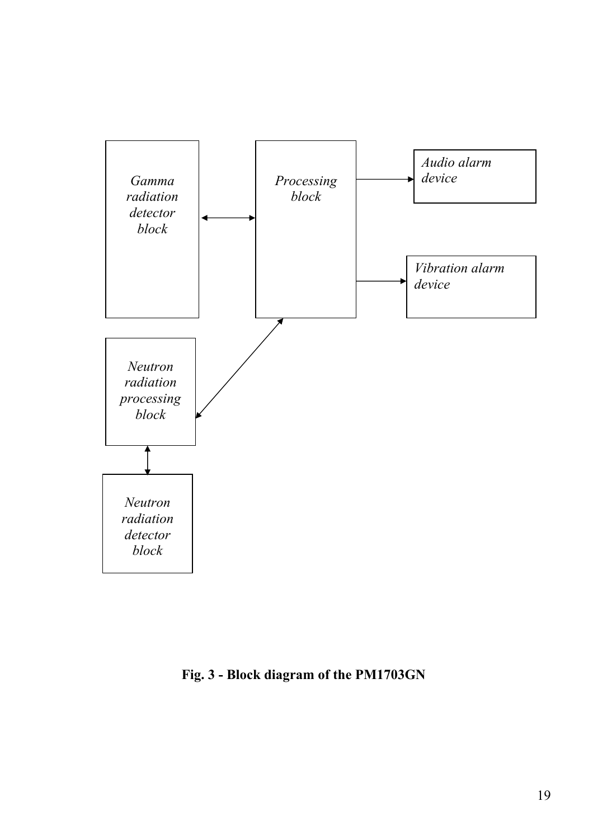

**Fig. 3 - Block diagram of the PM1703GN**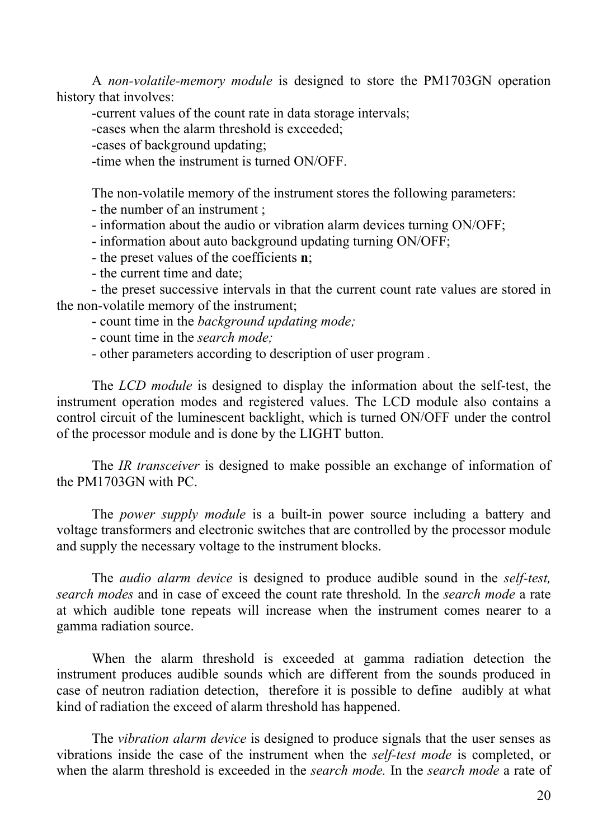A *non-volatile-memory module* is designed to store the PM1703GN operation history that involves:

-current values of the count rate in data storage intervals;

-cases when the alarm threshold is exceeded;

-cases of background updating;

-time when the instrument is turned ON/OFF.

The non-volatile memory of the instrument stores the following parameters:

- the number of an instrument ;

- information about the audio or vibration alarm devices turning ON/OFF;

- information about auto background updating turning ON/OFF;

- the preset values of the coefficients **n**;

- the current time and date;

- the preset successive intervals in that the current count rate values are stored in the non-volatile memory of the instrument;

- count time in the *background updating mode;* 

- count time in the *search mode;* 

- other parameters according to description of user program *.* 

The *LCD module* is designed to display the information about the self-test, the instrument operation modes and registered values. The LCD module also contains a control circuit of the luminescent backlight, which is turned ON/OFF under the control of the processor module and is done by the LIGHT button.

The *IR transceiver* is designed to make possible an exchange of information of the PM1703GN with PC.

The *power supply module* is a built-in power source including a battery and voltage transformers and electronic switches that are controlled by the processor module and supply the necessary voltage to the instrument blocks.

The *audio alarm device* is designed to produce audible sound in the *self-test, search modes* and in case of exceed the count rate threshold*.* In the *search mode* a rate at which audible tone repeats will increase when the instrument comes nearer to a gamma radiation source.

When the alarm threshold is exceeded at gamma radiation detection the instrument produces audible sounds which are different from the sounds produced in case of neutron radiation detection, therefore it is possible to define audibly at what kind of radiation the exceed of alarm threshold has happened.

The *vibration alarm device* is designed to produce signals that the user senses as vibrations inside the case of the instrument when the *self-test mode* is completed, or when the alarm threshold is exceeded in the *search mode.* In the *search mode* a rate of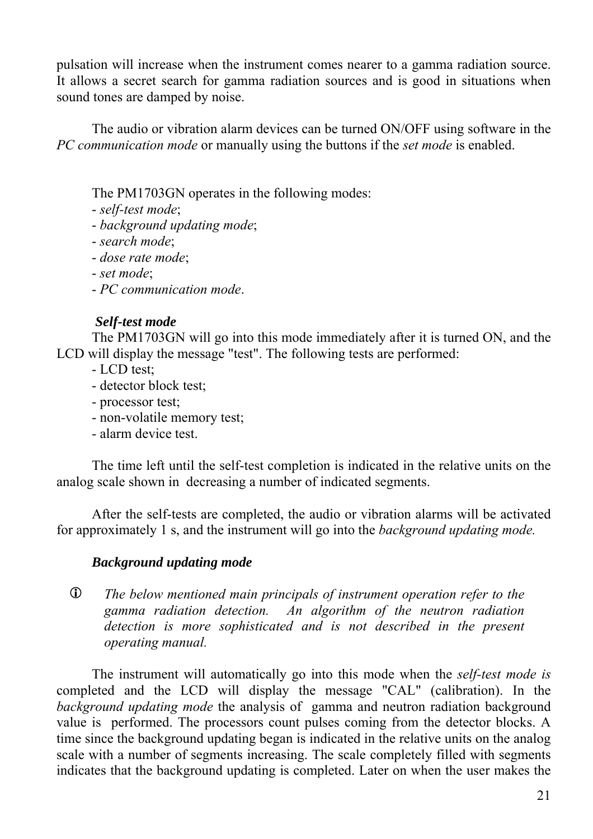pulsation will increase when the instrument comes nearer to a gamma radiation source. It allows a secret search for gamma radiation sources and is good in situations when sound tones are damped by noise.

The audio or vibration alarm devices can be turned ON/OFF using software in the *PC communication mode* or manually using the buttons if the *set mode* is enabled.

The PM1703GN operates in the following modes:

- *self-test mode*;

- *background updating mode*;

- *search mode*;

- *dose rate mode*;

- *set mode*;

- *PC communication mode*.

## *Self-test mode*

The PM1703GN will go into this mode immediately after it is turned ON, and the LCD will display the message "test". The following tests are performed:

- LCD test;

- detector block test;

- processor test;

- non-volatile memory test;

- alarm device test.

The time left until the self-test completion is indicated in the relative units on the analog scale shown in decreasing a number of indicated segments.

After the self-tests are completed, the audio or vibration alarms will be activated for approximately 1 s, and the instrument will go into the *background updating mode.* 

## *Background updating mode*

L *The below mentioned main principals of instrument operation refer to the gamma radiation detection. An algorithm of the neutron radiation detection is more sophisticated and is not described in the present operating manual.* 

The instrument will automatically go into this mode when the *self-test mode is* completed and the LCD will display the message "CAL" (calibration). In the *background updating mode* the analysis of gamma and neutron radiation background value is performed. The processors count pulses coming from the detector blocks. A time since the background updating began is indicated in the relative units on the analog scale with a number of segments increasing. The scale completely filled with segments indicates that the background updating is completed. Later on when the user makes the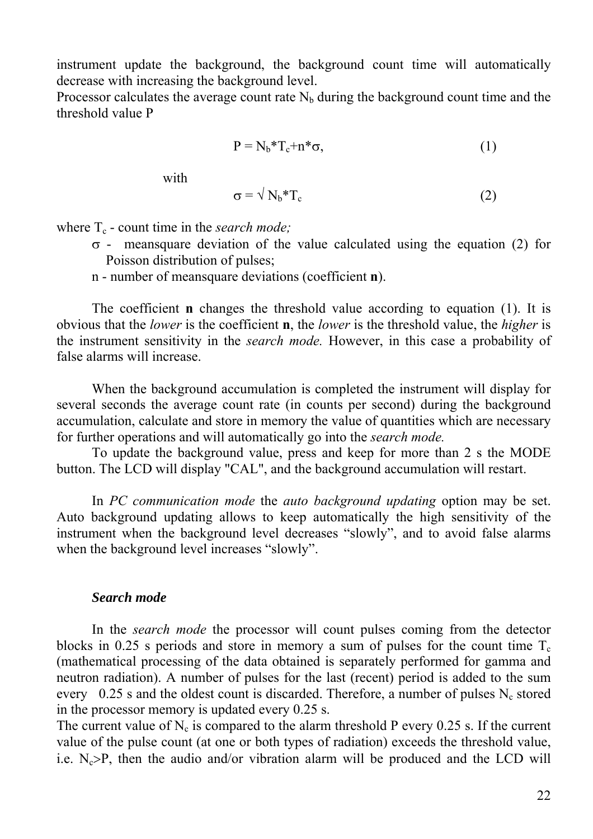instrument update the background, the background count time will automatically decrease with increasing the background level.

Processor calculates the average count rate  $N<sub>b</sub>$  during the background count time and the threshold value P

$$
P = N_b * T_c + n * \sigma,
$$
\n<sup>(1)</sup>

with the state of the state of the state of the state of the state of the state of the state of the state of the state of the state of the state of the state of the state of the state of the state of the state of the state

$$
\sigma = \sqrt{N_b * T_c} \tag{2}
$$

where  $T_c$  - count time in the *search mode*;

- σ meansquare deviation of the value calculated using the equation (2) for Poisson distribution of pulses;
- n number of meansquare deviations (coefficient **n**).

The coefficient **n** changes the threshold value according to equation (1). It is obvious that the *lower* is the coefficient **n**, the *lower* is the threshold value, the *higher* is the instrument sensitivity in the *search mode.* However, in this case a probability of false alarms will increase.

When the background accumulation is completed the instrument will display for several seconds the average count rate (in counts per second) during the background accumulation, calculate and store in memory the value of quantities which are necessary for further operations and will automatically go into the *search mode.* 

To update the background value, press and keep for more than 2 s the MODE button. The LCD will display "CAL", and the background accumulation will restart.

In *PC communication mode* the *auto background updating* option may be set. Auto background updating allows to keep automatically the high sensitivity of the instrument when the background level decreases "slowly", and to avoid false alarms when the background level increases "slowly".

#### *Search mode*

In the *search mode* the processor will count pulses coming from the detector blocks in 0.25 s periods and store in memory a sum of pulses for the count time  $T_c$ (mathematical processing of the data obtained is separately performed for gamma and neutron radiation). A number of pulses for the last (recent) period is added to the sum every 0.25 s and the oldest count is discarded. Therefore, a number of pulses  $N_c$  stored in the processor memory is updated every 0.25 s.

The current value of  $N_c$  is compared to the alarm threshold P every 0.25 s. If the current value of the pulse count (at one or both types of radiation) exceeds the threshold value, i.e.  $N_c$ >P, then the audio and/or vibration alarm will be produced and the LCD will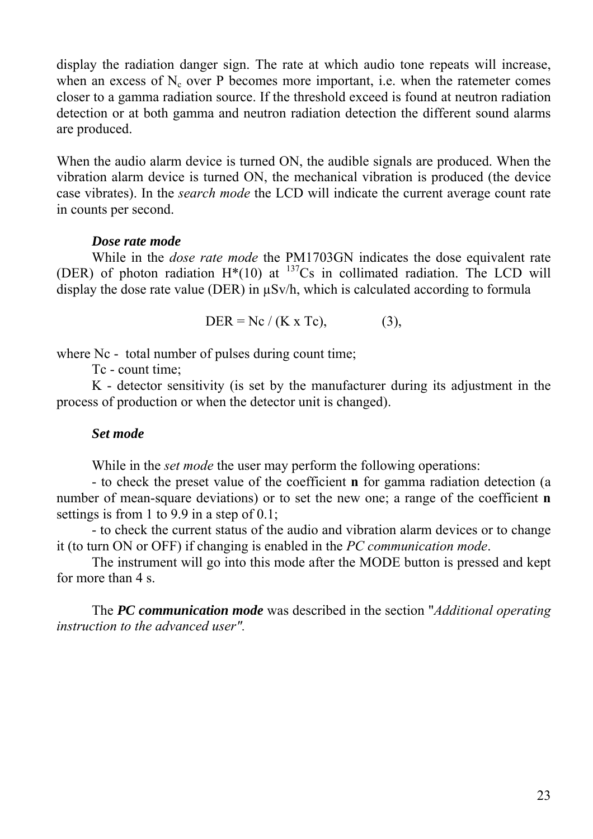display the radiation danger sign. The rate at which audio tone repeats will increase, when an excess of  $N_c$  over P becomes more important, i.e. when the ratemeter comes closer to a gamma radiation source. If the threshold exceed is found at neutron radiation detection or at both gamma and neutron radiation detection the different sound alarms are produced.

When the audio alarm device is turned ON, the audible signals are produced. When the vibration alarm device is turned ON, the mechanical vibration is produced (the device case vibrates). In the *search mode* the LCD will indicate the current average count rate in counts per second.

#### *Dose rate mode*

While in the *dose rate mode* the PM1703GN indicates the dose equivalent rate (DER) of photon radiation  $H^*(10)$  at  $^{137}Cs$  in collimated radiation. The LCD will display the dose rate value (DER) in µSv/h, which is calculated according to formula

DER = Nc / (K x Tc), (3),

where Nc - total number of pulses during count time;

Tc - count time;

K - detector sensitivity (is set by the manufacturer during its adjustment in the process of production or when the detector unit is changed).

#### *Set mode*

While in the *set mode* the user may perform the following operations:

- to check the preset value of the coefficient **n** for gamma radiation detection (a number of mean-square deviations) or to set the new one; a range of the coefficient **n** settings is from 1 to 9.9 in a step of 0.1;

- to check the current status of the audio and vibration alarm devices or to change it (to turn ON or OFF) if changing is enabled in the *PC communication mode*.

The instrument will go into this mode after the MODE button is pressed and kept for more than 4 s.

The *PC communication mode* was described in the section "*Additional operating instruction to the advanced user".*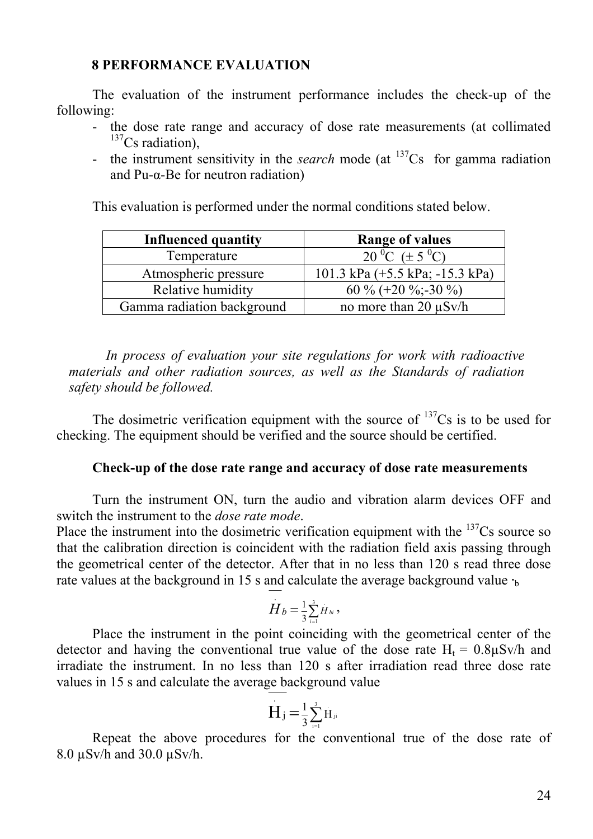#### **8 PERFORMANCE EVALUATION**

The evaluation of the instrument performance includes the check-up of the following:

- the dose rate range and accuracy of dose rate measurements (at collimated  $137$ Cs radiation),
- the instrument sensitivity in the *search* mode (at  $137Cs$  for gamma radiation and Pu-α-Be for neutron radiation)

This evaluation is performed under the normal conditions stated below.

| <b>Influenced quantity</b> | <b>Range of values</b>                            |
|----------------------------|---------------------------------------------------|
| Temperature                | 20 °C ( $\pm$ 5 °C)                               |
| Atmospheric pressure       | 101.3 kPa $(+5.5 \text{ kPa}; -15.3 \text{ kPa})$ |
| Relative humidity          | 60 % (+20 %; -30 %)                               |
| Gamma radiation background | no more than 20 $\mu$ Sv/h                        |

*In process of evaluation your site regulations for work with radioactive materials and other radiation sources, as well as the Standards of radiation safety should be followed.* 

The dosimetric verification equipment with the source of  $137Cs$  is to be used for checking. The equipment should be verified and the source should be certified.

#### **Check-up of the dose rate range and accuracy of dose rate measurements**

Turn the instrument ON, turn the audio and vibration alarm devices OFF and switch the instrument to the *dose rate mode*.

Place the instrument into the dosimetric verification equipment with the  $137Cs$  source so that the calibration direction is coincident with the radiation field axis passing through the geometrical center of the detector. After that in no less than 120 s read three dose rate values at the background in 15 s and calculate the average background value  $\cdot$ 

$$
H_b = \frac{1}{3} \sum_{i=1}^{3} H_{bi}
$$

Place the instrument in the point coinciding with the geometrical center of the detector and having the conventional true value of the dose rate  $H_t = 0.8 \mu Sv/h$  and irradiate the instrument. In no less than 120 s after irradiation read three dose rate values in 15 s and calculate the average background value

$$
\dot{H}_j = \frac{1}{3} \sum_{i=1}^3 H_{ji}
$$

Repeat the above procedures for the conventional true of the dose rate of 8.0 µSv/h and 30.0 µSv/h.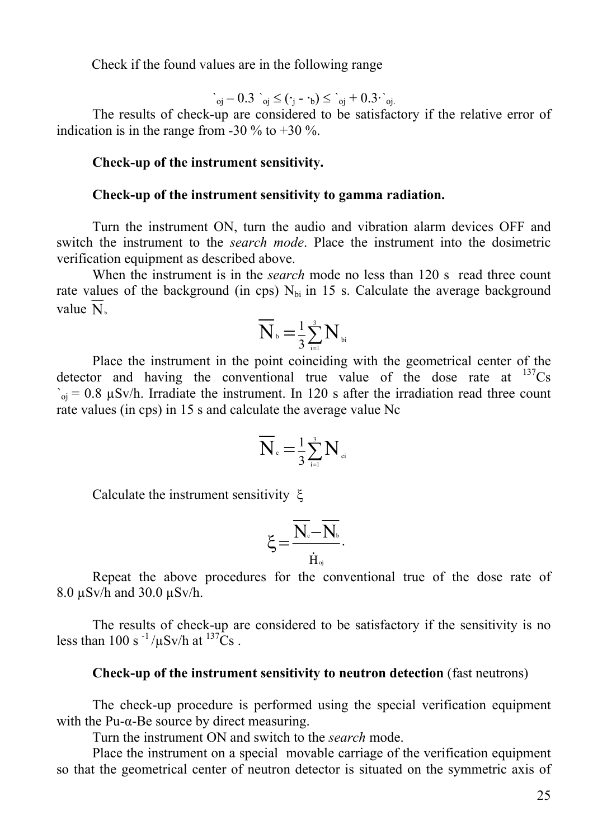Check if the found values are in the following range

$$
\dot{\ }_{oj}-0.3\ \dot{\ }_{oj}\leq (\cdot_j-\cdot_b)\leq \dot{\ }_{oj}+0.3\cdot \dot{\ }_{oj.}
$$

The results of check-up are considered to be satisfactory if the relative error of indication is in the range from -30  $\%$  to +30  $\%$ .

#### **Check-up of the instrument sensitivity.**

#### **Check-up of the instrument sensitivity to gamma radiation.**

Turn the instrument ON, turn the audio and vibration alarm devices OFF and switch the instrument to the *search mode*. Place the instrument into the dosimetric verification equipment as described above.

When the instrument is in the *search* mode no less than 120 s read three count rate values of the background (in cps)  $N_{\text{bi}}$  in 15 s. Calculate the average background value  $N_{b}$ 

$$
\overline{\bf N}_{\scriptscriptstyle{\rm b}}\!=\!\tfrac{1}{3}\!\sum_{\scriptscriptstyle{\rm i=1}}^{\scriptscriptstyle{3}} {\bf N}_{\scriptscriptstyle{\rm bi}}
$$

Place the instrument in the point coinciding with the geometrical center of the detector and having the conventional true value of the dose rate at  $^{137}Cs$  $C_{\text{o}i} = 0.8 \text{ }\mu\text{Sv/h}$ . Irradiate the instrument. In 120 s after the irradiation read three count rate values (in cps) in 15 s and calculate the average value Nc

$$
\overline{\mathbf{N}}_{\scriptscriptstyle \rm c}\!=\!\tfrac{1}{3}\! \sum_{\scriptscriptstyle \rm i=1}^{\scriptscriptstyle 3}\mathbf{N}_{\scriptscriptstyle \rm ci}
$$

Calculate the instrument sensitivity ξ

$$
\xi\!=\!\frac{\overline{N_{\scriptscriptstyle \mathrm{c}}}\!-\!\overline{N_{\scriptscriptstyle \mathrm{b}}}}{\dot{H}_{\scriptscriptstyle \mathrm{oj}}}.
$$

Repeat the above procedures for the conventional true of the dose rate of 8.0 µSv/h and 30.0 µSv/h.

The results of check-up are considered to be satisfactory if the sensitivity is no less than 100 s  $^{-1}$ / $\mu$ Sv/h at  $^{137}$ Cs.

#### **Check-up of the instrument sensitivity to neutron detection** (fast neutrons)

The check-up procedure is performed using the special verification equipment with the Pu- $\alpha$ -Be source by direct measuring.

Turn the instrument ON and switch to the *search* mode.

Place the instrument on a special movable carriage of the verification equipment so that the geometrical center of neutron detector is situated on the symmetric axis of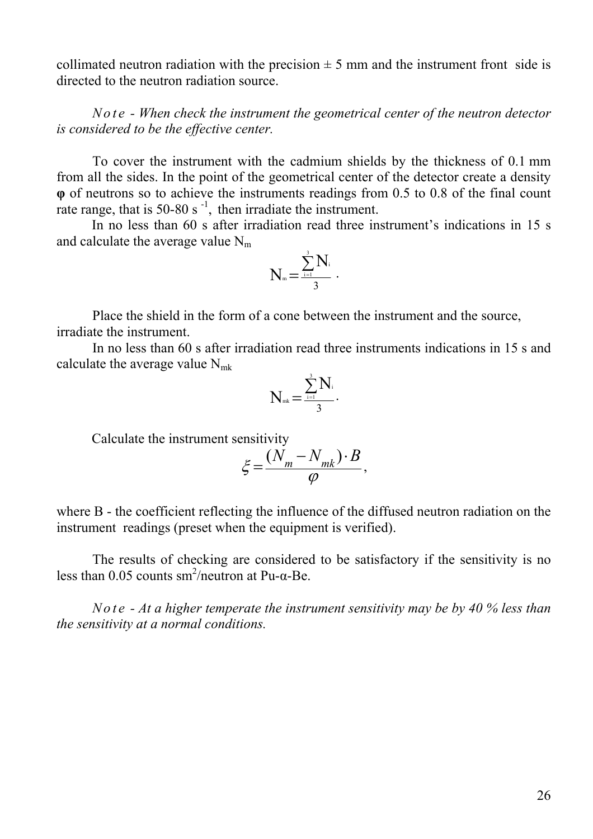collimated neutron radiation with the precision  $\pm$  5 mm and the instrument front side is directed to the neutron radiation source.

*Note - When check the instrument the geometrical center of the neutron detector is considered to be the effective center.* 

To cover the instrument with the cadmium shields by the thickness of 0.1 mm from all the sides. In the point of the geometrical center of the detector create a density **φ** of neutrons so to achieve the instruments readings from 0.5 to 0.8 of the final count rate range, that is 50-80 s<sup>-1</sup>, then irradiate the instrument.

In no less than 60 s after irradiation read three instrument's indications in 15 s and calculate the average value  $N_m$ 

$$
N_{\scriptscriptstyle \text{m}}\!=\!\frac{\sum\limits_{\scriptscriptstyle i=1}^{\scriptscriptstyle 3}\!N_{\scriptscriptstyle i}}{3}\cdot
$$

Place the shield in the form of a cone between the instrument and the source, irradiate the instrument.

In no less than 60 s after irradiation read three instruments indications in 15 s and calculate the average value  $N_{mk}$ 

$$
N_{\scriptscriptstyle \text{mk}}\!=\!\frac{\sum\limits_{\scriptscriptstyle i=1}^{\scriptscriptstyle 3}\!N_{\scriptscriptstyle i}}{3}\cdot
$$

Calculate the instrument sensitivity

$$
\xi = \frac{(N_m - N_{mk}) \cdot B}{\varphi},
$$

where B - the coefficient reflecting the influence of the diffused neutron radiation on the instrument readings (preset when the equipment is verified).

The results of checking are considered to be satisfactory if the sensitivity is no less than 0.05 counts sm<sup>2</sup>/neutron at Pu- $\alpha$ -Be.

*No t e - At a higher temperate the instrument sensitivity may be by 40 % less than the sensitivity at a normal conditions.*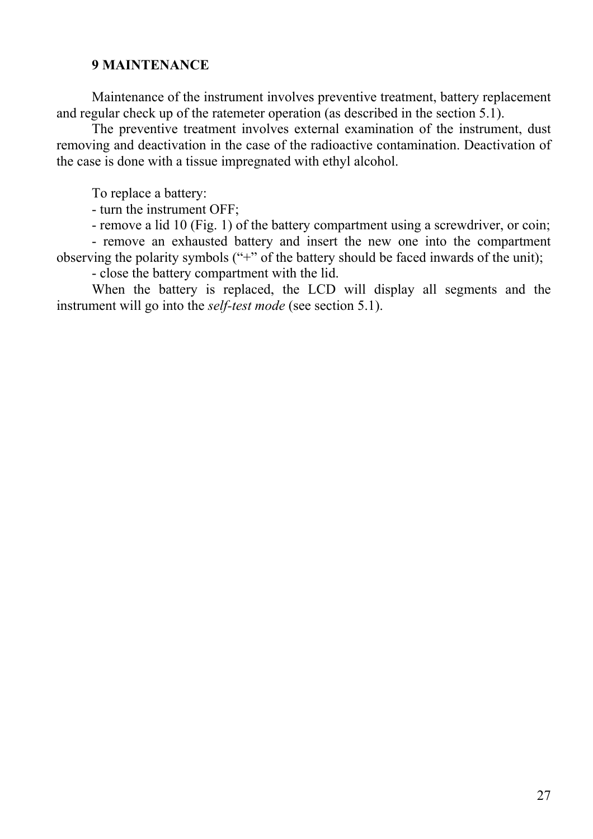#### **9 MAINTENANCE**

Maintenance of the instrument involves preventive treatment, battery replacement and regular check up of the ratemeter operation (as described in the section 5.1).

The preventive treatment involves external examination of the instrument, dust removing and deactivation in the case of the radioactive contamination. Deactivation of the case is done with a tissue impregnated with ethyl alcohol.

To replace a battery:

- turn the instrument OFF;

- remove a lid 10 (Fig. 1) of the battery compartment using a screwdriver, or coin;

- remove an exhausted battery and insert the new one into the compartment observing the polarity symbols ("+" of the battery should be faced inwards of the unit);

- close the battery compartment with the lid.

When the battery is replaced, the LCD will display all segments and the instrument will go into the *self-test mode* (see section 5.1).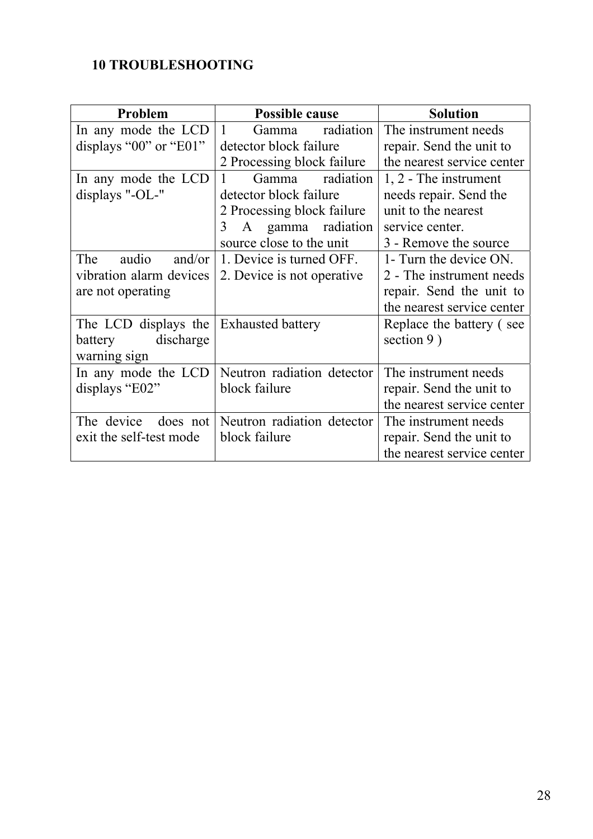# **10 TROUBLESHOOTING**

| Problem                 | <b>Possible cause</b>       | <b>Solution</b>            |
|-------------------------|-----------------------------|----------------------------|
| In any mode the LCD     | 1<br>radiation<br>Gamma     | The instrument needs       |
| displays "00" or "E01"  | detector block failure      | repair. Send the unit to   |
|                         | 2 Processing block failure  | the nearest service center |
| In any mode the LCD     | radiation<br>Gamma<br>1     | $1, 2$ - The instrument    |
| displays "- $OL$ -"     | detector block failure      | needs repair. Send the     |
|                         | 2 Processing block failure  | unit to the nearest        |
|                         | A gamma radiation<br>3      | service center.            |
|                         | source close to the unit    | 3 - Remove the source      |
| audio<br>The<br>and/or  | 1. Device is turned OFF.    | 1- Turn the device ON.     |
| vibration alarm devices | 2. Device is not operative. | 2 - The instrument needs   |
| are not operating       |                             | repair. Send the unit to   |
|                         |                             | the nearest service center |
| The LCD displays the    | <b>Exhausted battery</b>    | Replace the battery (see   |
| discharge<br>battery    |                             | section $9)$               |
| warning sign            |                             |                            |
| In any mode the LCD     | Neutron radiation detector  | The instrument needs       |
| displays "E02"          | block failure               | repair. Send the unit to   |
|                         |                             | the nearest service center |
| The device<br>does not  | Neutron radiation detector  | The instrument needs       |
| exit the self-test mode | block failure               | repair. Send the unit to   |
|                         |                             | the nearest service center |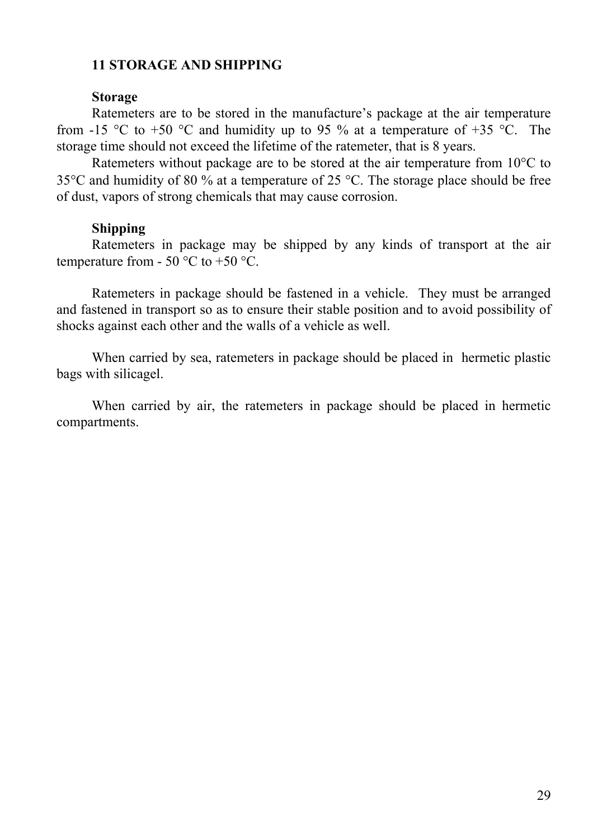## **11 STORAGE AND SHIPPING**

#### **Storage**

Ratemeters are to be stored in the manufacture's package at the air temperature from -15 °C to +50 °C and humidity up to 95 % at a temperature of +35 °C. The storage time should not exceed the lifetime of the ratemeter, that is 8 years.

Ratemeters without package are to be stored at the air temperature from 10<sup>o</sup>C to 35°C and humidity of 80 % at a temperature of 25 °C. The storage place should be free of dust, vapors of strong chemicals that may cause corrosion.

### **Shipping**

Ratemeters in package may be shipped by any kinds of transport at the air temperature from - 50  $\degree$ C to +50  $\degree$ C.

Ratemeters in package should be fastened in a vehicle. They must be arranged and fastened in transport so as to ensure their stable position and to avoid possibility of shocks against each other and the walls of a vehicle as well.

When carried by sea, ratemeters in package should be placed in hermetic plastic bags with silicagel.

When carried by air, the ratemeters in package should be placed in hermetic compartments.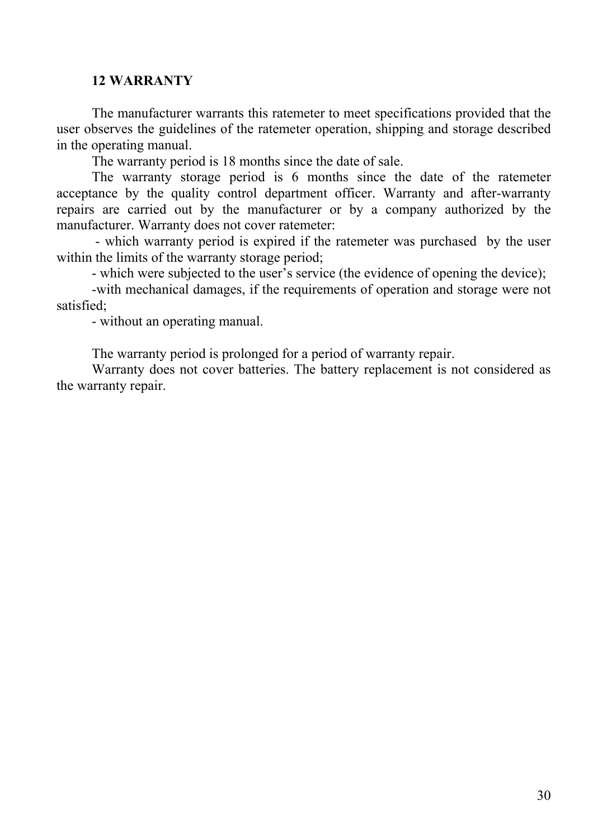### **12 WARRANTY**

The manufacturer warrants this ratemeter to meet specifications provided that the user observes the guidelines of the ratemeter operation, shipping and storage described in the operating manual.

The warranty period is 18 months since the date of sale.

The warranty storage period is 6 months since the date of the ratemeter acceptance by the quality control department officer. Warranty and after-warranty repairs are carried out by the manufacturer or by a company authorized by the manufacturer. Warranty does not cover ratemeter:

- which warranty period is expired if the ratemeter was purchased by the user within the limits of the warranty storage period;

- which were subjected to the user's service (the evidence of opening the device);

-with mechanical damages, if the requirements of operation and storage were not satisfied;

- without an operating manual.

The warranty period is prolonged for a period of warranty repair.

Warranty does not cover batteries. The battery replacement is not considered as the warranty repair.